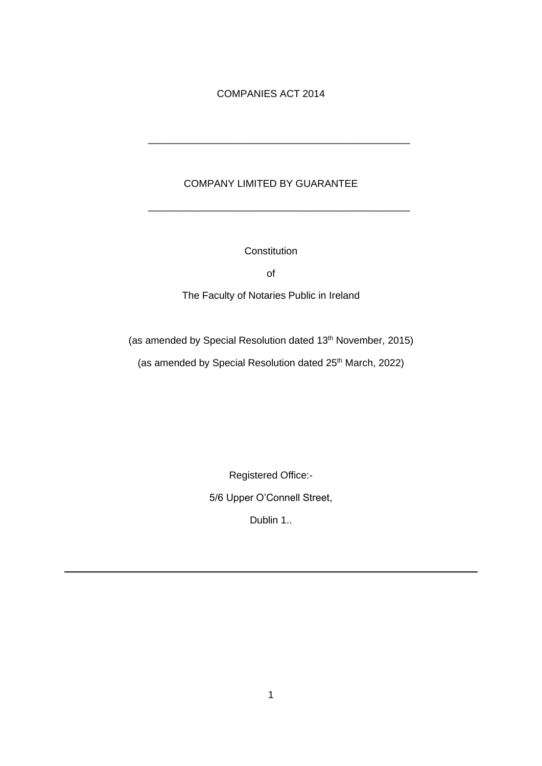## COMPANIES ACT 2014

## COMPANY LIMITED BY GUARANTEE

\_\_\_\_\_\_\_\_\_\_\_\_\_\_\_\_\_\_\_\_\_\_\_\_\_\_\_\_\_\_\_\_\_\_\_\_\_\_\_\_\_\_\_\_\_\_\_

\_\_\_\_\_\_\_\_\_\_\_\_\_\_\_\_\_\_\_\_\_\_\_\_\_\_\_\_\_\_\_\_\_\_\_\_\_\_\_\_\_\_\_\_\_\_\_

**Constitution** 

of

The Faculty of Notaries Public in Ireland

(as amended by Special Resolution dated 13<sup>th</sup> November, 2015)

(as amended by Special Resolution dated 25<sup>th</sup> March, 2022)

Registered Office:-

5/6 Upper O'Connell Street,

Dublin 1..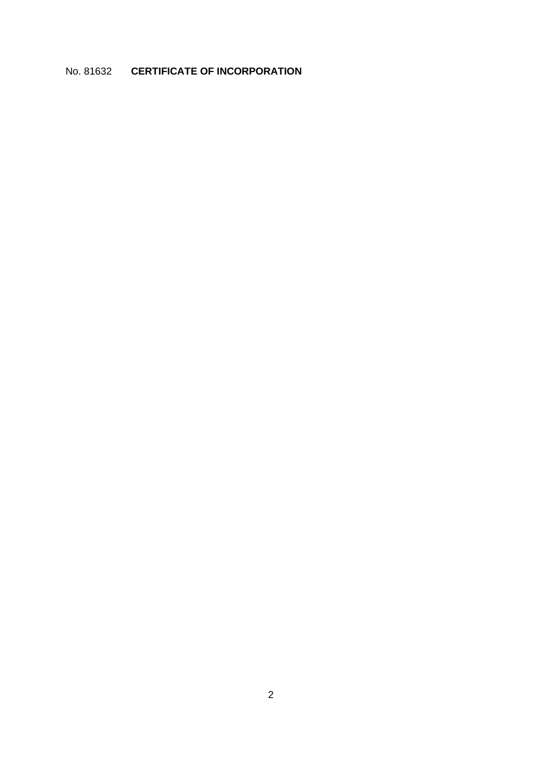## No. 81632 **CERTIFICATE OF INCORPORATION**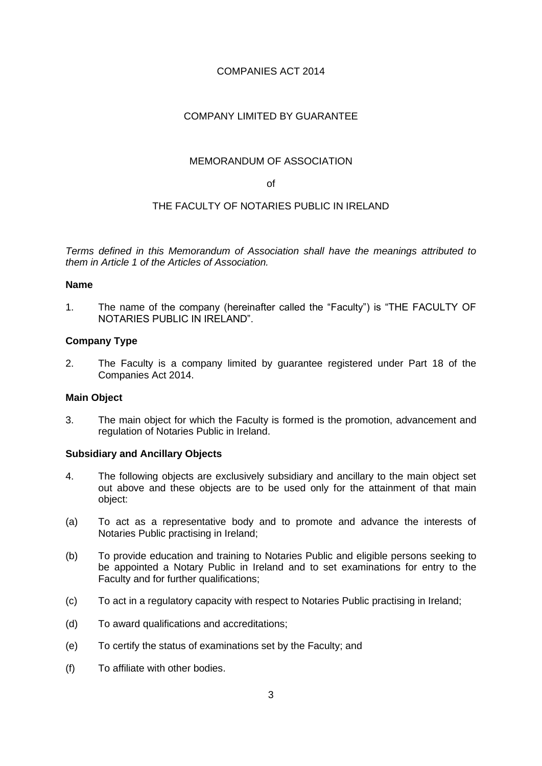## COMPANIES ACT 2014

## COMPANY LIMITED BY GUARANTEE

## MEMORANDUM OF ASSOCIATION

of

## THE FACULTY OF NOTARIES PUBLIC IN IRELAND

*Terms defined in this Memorandum of Association shall have the meanings attributed to them in Article 1 of the Articles of Association.* 

#### **Name**

1. The name of the company (hereinafter called the "Faculty") is "THE FACULTY OF NOTARIES PUBLIC IN IRELAND".

## **Company Type**

2. The Faculty is a company limited by guarantee registered under Part 18 of the Companies Act 2014.

## **Main Object**

3. The main object for which the Faculty is formed is the promotion, advancement and regulation of Notaries Public in Ireland.

#### **Subsidiary and Ancillary Objects**

- 4. The following objects are exclusively subsidiary and ancillary to the main object set out above and these objects are to be used only for the attainment of that main object:
- (a) To act as a representative body and to promote and advance the interests of Notaries Public practising in Ireland;
- (b) To provide education and training to Notaries Public and eligible persons seeking to be appointed a Notary Public in Ireland and to set examinations for entry to the Faculty and for further qualifications;
- (c) To act in a regulatory capacity with respect to Notaries Public practising in Ireland;
- (d) To award qualifications and accreditations;
- (e) To certify the status of examinations set by the Faculty; and
- (f) To affiliate with other bodies.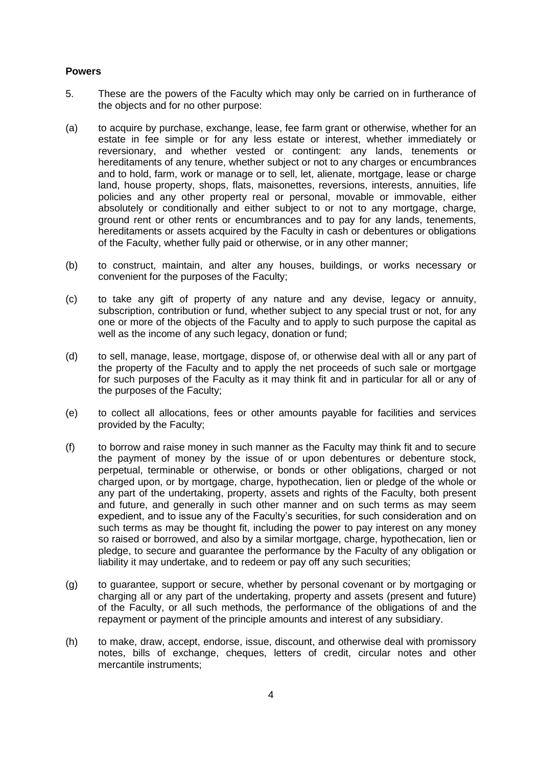#### **Powers**

- 5. These are the powers of the Faculty which may only be carried on in furtherance of the objects and for no other purpose:
- (a) to acquire by purchase, exchange, lease, fee farm grant or otherwise, whether for an estate in fee simple or for any less estate or interest, whether immediately or reversionary, and whether vested or contingent: any lands, tenements or hereditaments of any tenure, whether subject or not to any charges or encumbrances and to hold, farm, work or manage or to sell, let, alienate, mortgage, lease or charge land, house property, shops, flats, maisonettes, reversions, interests, annuities, life policies and any other property real or personal, movable or immovable, either absolutely or conditionally and either subject to or not to any mortgage, charge, ground rent or other rents or encumbrances and to pay for any lands, tenements, hereditaments or assets acquired by the Faculty in cash or debentures or obligations of the Faculty, whether fully paid or otherwise, or in any other manner;
- (b) to construct, maintain, and alter any houses, buildings, or works necessary or convenient for the purposes of the Faculty;
- (c) to take any gift of property of any nature and any devise, legacy or annuity, subscription, contribution or fund, whether subject to any special trust or not, for any one or more of the objects of the Faculty and to apply to such purpose the capital as well as the income of any such legacy, donation or fund:
- (d) to sell, manage, lease, mortgage, dispose of, or otherwise deal with all or any part of the property of the Faculty and to apply the net proceeds of such sale or mortgage for such purposes of the Faculty as it may think fit and in particular for all or any of the purposes of the Faculty;
- (e) to collect all allocations, fees or other amounts payable for facilities and services provided by the Faculty;
- (f) to borrow and raise money in such manner as the Faculty may think fit and to secure the payment of money by the issue of or upon debentures or debenture stock, perpetual, terminable or otherwise, or bonds or other obligations, charged or not charged upon, or by mortgage, charge, hypothecation, lien or pledge of the whole or any part of the undertaking, property, assets and rights of the Faculty, both present and future, and generally in such other manner and on such terms as may seem expedient, and to issue any of the Faculty's securities, for such consideration and on such terms as may be thought fit, including the power to pay interest on any money so raised or borrowed, and also by a similar mortgage, charge, hypothecation, lien or pledge, to secure and guarantee the performance by the Faculty of any obligation or liability it may undertake, and to redeem or pay off any such securities;
- (g) to guarantee, support or secure, whether by personal covenant or by mortgaging or charging all or any part of the undertaking, property and assets (present and future) of the Faculty, or all such methods, the performance of the obligations of and the repayment or payment of the principle amounts and interest of any subsidiary.
- (h) to make, draw, accept, endorse, issue, discount, and otherwise deal with promissory notes, bills of exchange, cheques, letters of credit, circular notes and other mercantile instruments;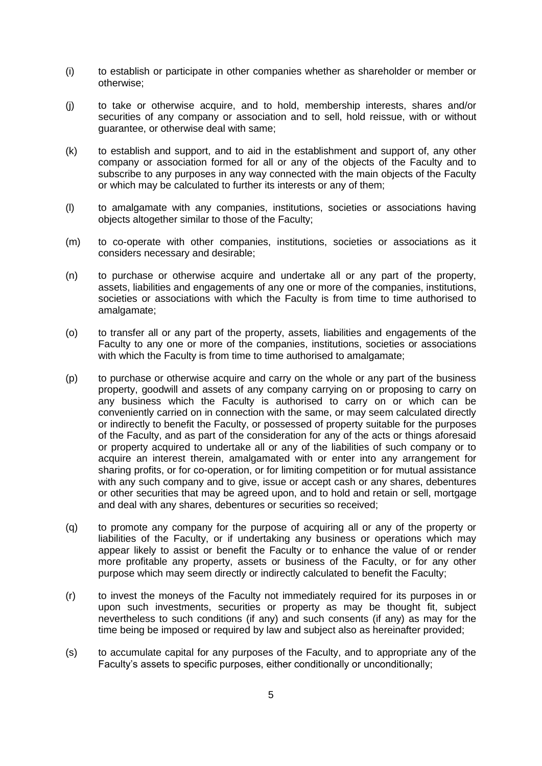- (i) to establish or participate in other companies whether as shareholder or member or otherwise;
- (j) to take or otherwise acquire, and to hold, membership interests, shares and/or securities of any company or association and to sell, hold reissue, with or without guarantee, or otherwise deal with same;
- (k) to establish and support, and to aid in the establishment and support of, any other company or association formed for all or any of the objects of the Faculty and to subscribe to any purposes in any way connected with the main objects of the Faculty or which may be calculated to further its interests or any of them;
- (l) to amalgamate with any companies, institutions, societies or associations having objects altogether similar to those of the Faculty;
- (m) to co-operate with other companies, institutions, societies or associations as it considers necessary and desirable;
- (n) to purchase or otherwise acquire and undertake all or any part of the property, assets, liabilities and engagements of any one or more of the companies, institutions, societies or associations with which the Faculty is from time to time authorised to amalgamate;
- (o) to transfer all or any part of the property, assets, liabilities and engagements of the Faculty to any one or more of the companies, institutions, societies or associations with which the Faculty is from time to time authorised to amalgamate;
- (p) to purchase or otherwise acquire and carry on the whole or any part of the business property, goodwill and assets of any company carrying on or proposing to carry on any business which the Faculty is authorised to carry on or which can be conveniently carried on in connection with the same, or may seem calculated directly or indirectly to benefit the Faculty, or possessed of property suitable for the purposes of the Faculty, and as part of the consideration for any of the acts or things aforesaid or property acquired to undertake all or any of the liabilities of such company or to acquire an interest therein, amalgamated with or enter into any arrangement for sharing profits, or for co-operation, or for limiting competition or for mutual assistance with any such company and to give, issue or accept cash or any shares, debentures or other securities that may be agreed upon, and to hold and retain or sell, mortgage and deal with any shares, debentures or securities so received;
- (q) to promote any company for the purpose of acquiring all or any of the property or liabilities of the Faculty, or if undertaking any business or operations which may appear likely to assist or benefit the Faculty or to enhance the value of or render more profitable any property, assets or business of the Faculty, or for any other purpose which may seem directly or indirectly calculated to benefit the Faculty;
- (r) to invest the moneys of the Faculty not immediately required for its purposes in or upon such investments, securities or property as may be thought fit, subject nevertheless to such conditions (if any) and such consents (if any) as may for the time being be imposed or required by law and subject also as hereinafter provided;
- (s) to accumulate capital for any purposes of the Faculty, and to appropriate any of the Faculty's assets to specific purposes, either conditionally or unconditionally;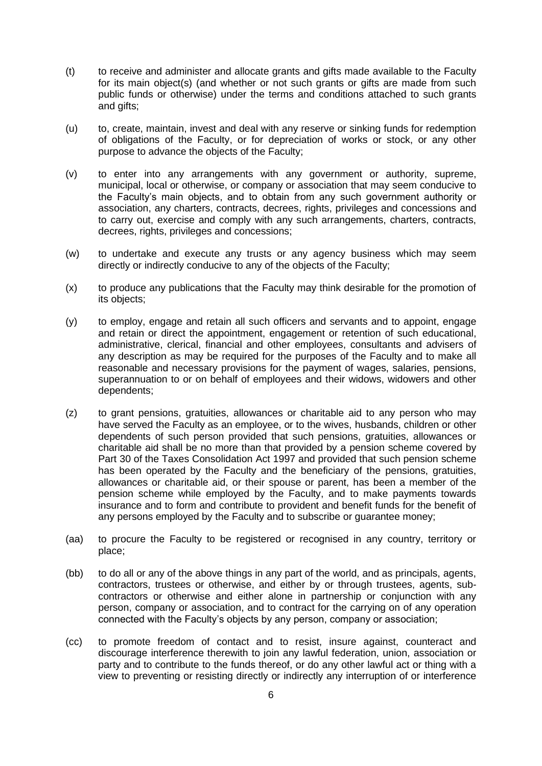- (t) to receive and administer and allocate grants and gifts made available to the Faculty for its main object(s) (and whether or not such grants or gifts are made from such public funds or otherwise) under the terms and conditions attached to such grants and gifts;
- (u) to, create, maintain, invest and deal with any reserve or sinking funds for redemption of obligations of the Faculty, or for depreciation of works or stock, or any other purpose to advance the objects of the Faculty;
- (v) to enter into any arrangements with any government or authority, supreme, municipal, local or otherwise, or company or association that may seem conducive to the Faculty's main objects, and to obtain from any such government authority or association, any charters, contracts, decrees, rights, privileges and concessions and to carry out, exercise and comply with any such arrangements, charters, contracts, decrees, rights, privileges and concessions;
- (w) to undertake and execute any trusts or any agency business which may seem directly or indirectly conducive to any of the objects of the Faculty;
- (x) to produce any publications that the Faculty may think desirable for the promotion of its objects;
- (y) to employ, engage and retain all such officers and servants and to appoint, engage and retain or direct the appointment, engagement or retention of such educational, administrative, clerical, financial and other employees, consultants and advisers of any description as may be required for the purposes of the Faculty and to make all reasonable and necessary provisions for the payment of wages, salaries, pensions, superannuation to or on behalf of employees and their widows, widowers and other dependents;
- (z) to grant pensions, gratuities, allowances or charitable aid to any person who may have served the Faculty as an employee, or to the wives, husbands, children or other dependents of such person provided that such pensions, gratuities, allowances or charitable aid shall be no more than that provided by a pension scheme covered by Part 30 of the Taxes Consolidation Act 1997 and provided that such pension scheme has been operated by the Faculty and the beneficiary of the pensions, gratuities, allowances or charitable aid, or their spouse or parent, has been a member of the pension scheme while employed by the Faculty, and to make payments towards insurance and to form and contribute to provident and benefit funds for the benefit of any persons employed by the Faculty and to subscribe or guarantee money;
- (aa) to procure the Faculty to be registered or recognised in any country, territory or place;
- (bb) to do all or any of the above things in any part of the world, and as principals, agents, contractors, trustees or otherwise, and either by or through trustees, agents, subcontractors or otherwise and either alone in partnership or conjunction with any person, company or association, and to contract for the carrying on of any operation connected with the Faculty's objects by any person, company or association;
- (cc) to promote freedom of contact and to resist, insure against, counteract and discourage interference therewith to join any lawful federation, union, association or party and to contribute to the funds thereof, or do any other lawful act or thing with a view to preventing or resisting directly or indirectly any interruption of or interference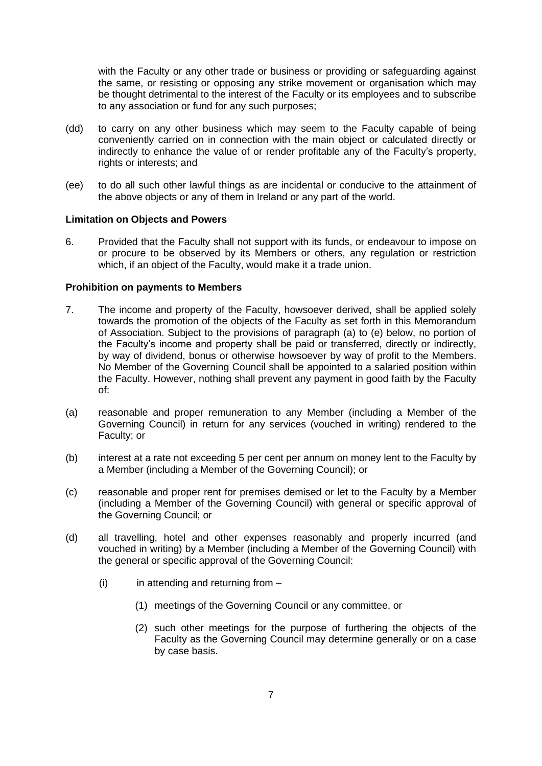with the Faculty or any other trade or business or providing or safeguarding against the same, or resisting or opposing any strike movement or organisation which may be thought detrimental to the interest of the Faculty or its employees and to subscribe to any association or fund for any such purposes;

- (dd) to carry on any other business which may seem to the Faculty capable of being conveniently carried on in connection with the main object or calculated directly or indirectly to enhance the value of or render profitable any of the Faculty's property, rights or interests; and
- (ee) to do all such other lawful things as are incidental or conducive to the attainment of the above objects or any of them in Ireland or any part of the world.

## **Limitation on Objects and Powers**

6. Provided that the Faculty shall not support with its funds, or endeavour to impose on or procure to be observed by its Members or others, any regulation or restriction which, if an object of the Faculty, would make it a trade union.

#### **Prohibition on payments to Members**

- 7. The income and property of the Faculty, howsoever derived, shall be applied solely towards the promotion of the objects of the Faculty as set forth in this Memorandum of Association. Subject to the provisions of paragraph (a) to (e) below, no portion of the Faculty's income and property shall be paid or transferred, directly or indirectly, by way of dividend, bonus or otherwise howsoever by way of profit to the Members. No Member of the Governing Council shall be appointed to a salaried position within the Faculty. However, nothing shall prevent any payment in good faith by the Faculty of:
- (a) reasonable and proper remuneration to any Member (including a Member of the Governing Council) in return for any services (vouched in writing) rendered to the Faculty; or
- (b) interest at a rate not exceeding 5 per cent per annum on money lent to the Faculty by a Member (including a Member of the Governing Council); or
- (c) reasonable and proper rent for premises demised or let to the Faculty by a Member (including a Member of the Governing Council) with general or specific approval of the Governing Council; or
- (d) all travelling, hotel and other expenses reasonably and properly incurred (and vouched in writing) by a Member (including a Member of the Governing Council) with the general or specific approval of the Governing Council:
	- $(i)$  in attending and returning from  $-$ 
		- (1) meetings of the Governing Council or any committee, or
		- (2) such other meetings for the purpose of furthering the objects of the Faculty as the Governing Council may determine generally or on a case by case basis.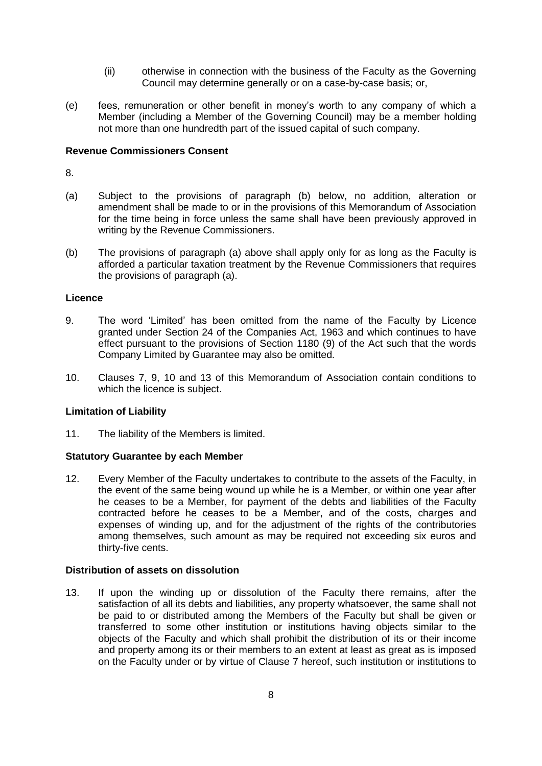- (ii) otherwise in connection with the business of the Faculty as the Governing Council may determine generally or on a case-by-case basis; or,
- (e) fees, remuneration or other benefit in money's worth to any company of which a Member (including a Member of the Governing Council) may be a member holding not more than one hundredth part of the issued capital of such company.

## **Revenue Commissioners Consent**

8.

- (a) Subject to the provisions of paragraph (b) below, no addition, alteration or amendment shall be made to or in the provisions of this Memorandum of Association for the time being in force unless the same shall have been previously approved in writing by the Revenue Commissioners.
- (b) The provisions of paragraph (a) above shall apply only for as long as the Faculty is afforded a particular taxation treatment by the Revenue Commissioners that requires the provisions of paragraph (a).

## **Licence**

- 9. The word 'Limited' has been omitted from the name of the Faculty by Licence granted under Section 24 of the Companies Act, 1963 and which continues to have effect pursuant to the provisions of Section 1180 (9) of the Act such that the words Company Limited by Guarantee may also be omitted.
- 10. Clauses 7, 9, 10 and 13 of this Memorandum of Association contain conditions to which the licence is subject.

## **Limitation of Liability**

11. The liability of the Members is limited.

#### **Statutory Guarantee by each Member**

12. Every Member of the Faculty undertakes to contribute to the assets of the Faculty, in the event of the same being wound up while he is a Member, or within one year after he ceases to be a Member, for payment of the debts and liabilities of the Faculty contracted before he ceases to be a Member, and of the costs, charges and expenses of winding up, and for the adjustment of the rights of the contributories among themselves, such amount as may be required not exceeding six euros and thirty-five cents.

## **Distribution of assets on dissolution**

13. If upon the winding up or dissolution of the Faculty there remains, after the satisfaction of all its debts and liabilities, any property whatsoever, the same shall not be paid to or distributed among the Members of the Faculty but shall be given or transferred to some other institution or institutions having objects similar to the objects of the Faculty and which shall prohibit the distribution of its or their income and property among its or their members to an extent at least as great as is imposed on the Faculty under or by virtue of Clause 7 hereof, such institution or institutions to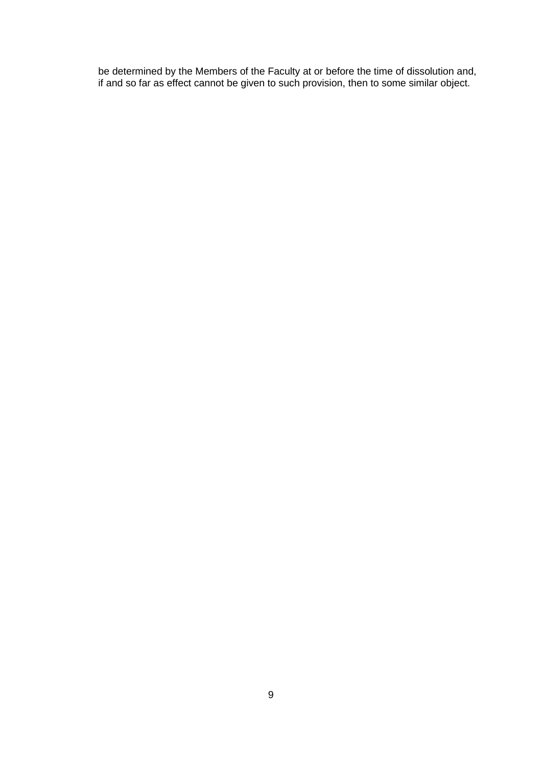be determined by the Members of the Faculty at or before the time of dissolution and, if and so far as effect cannot be given to such provision, then to some similar object.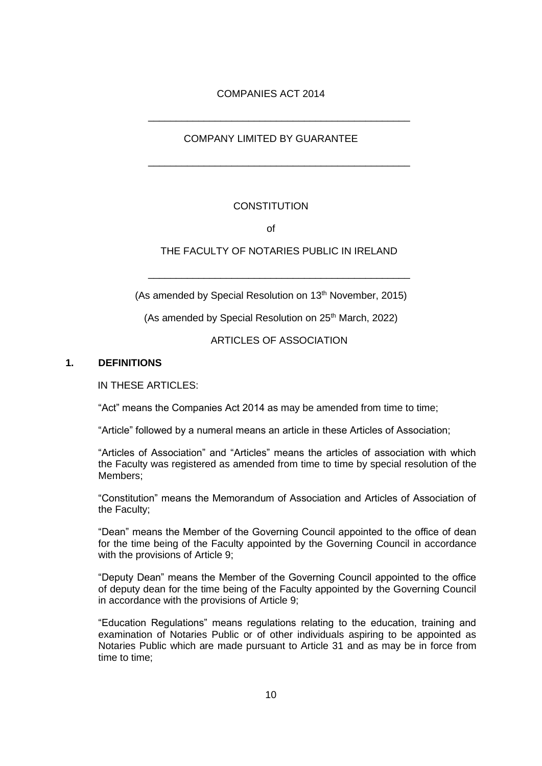## COMPANIES ACT 2014

\_\_\_\_\_\_\_\_\_\_\_\_\_\_\_\_\_\_\_\_\_\_\_\_\_\_\_\_\_\_\_\_\_\_\_\_\_\_\_\_\_\_\_\_\_\_\_

\_\_\_\_\_\_\_\_\_\_\_\_\_\_\_\_\_\_\_\_\_\_\_\_\_\_\_\_\_\_\_\_\_\_\_\_\_\_\_\_\_\_\_\_\_\_\_

## COMPANY LIMITED BY GUARANTEE

## **CONSTITUTION**

of

## THE FACULTY OF NOTARIES PUBLIC IN IRELAND

\_\_\_\_\_\_\_\_\_\_\_\_\_\_\_\_\_\_\_\_\_\_\_\_\_\_\_\_\_\_\_\_\_\_\_\_\_\_\_\_\_\_\_\_\_\_\_

(As amended by Special Resolution on 13<sup>th</sup> November, 2015)

(As amended by Special Resolution on  $25<sup>th</sup>$  March, 2022)

ARTICLES OF ASSOCIATION

#### **1. DEFINITIONS**

IN THESE ARTICLES:

"Act" means the Companies Act 2014 as may be amended from time to time;

"Article" followed by a numeral means an article in these Articles of Association;

"Articles of Association" and "Articles" means the articles of association with which the Faculty was registered as amended from time to time by special resolution of the Members;

"Constitution" means the Memorandum of Association and Articles of Association of the Faculty;

"Dean" means the Member of the Governing Council appointed to the office of dean for the time being of the Faculty appointed by the Governing Council in accordance with the provisions of Article 9;

"Deputy Dean" means the Member of the Governing Council appointed to the office of deputy dean for the time being of the Faculty appointed by the Governing Council in accordance with the provisions of Article 9;

"Education Regulations" means regulations relating to the education, training and examination of Notaries Public or of other individuals aspiring to be appointed as Notaries Public which are made pursuant to Article 31 and as may be in force from time to time;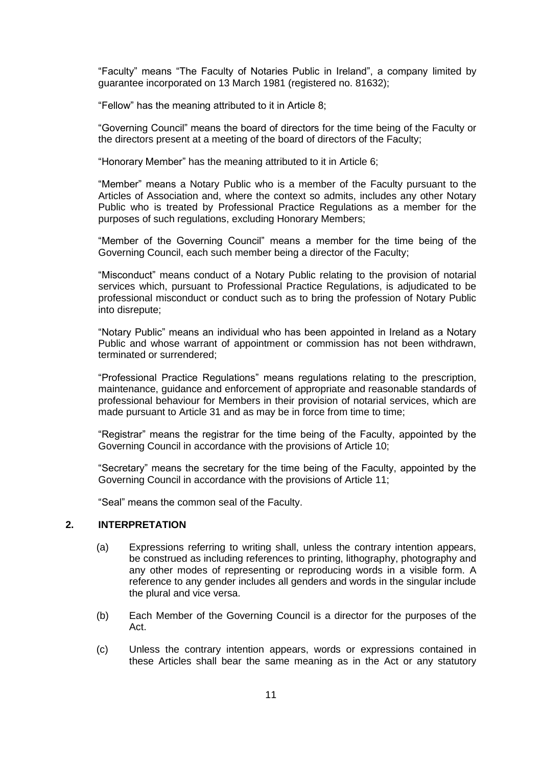"Faculty" means "The Faculty of Notaries Public in Ireland", a company limited by guarantee incorporated on 13 March 1981 (registered no. 81632);

"Fellow" has the meaning attributed to it in Article 8;

"Governing Council" means the board of directors for the time being of the Faculty or the directors present at a meeting of the board of directors of the Faculty;

"Honorary Member" has the meaning attributed to it in Article 6;

"Member" means a Notary Public who is a member of the Faculty pursuant to the Articles of Association and, where the context so admits, includes any other Notary Public who is treated by Professional Practice Regulations as a member for the purposes of such regulations, excluding Honorary Members;

"Member of the Governing Council" means a member for the time being of the Governing Council, each such member being a director of the Faculty;

"Misconduct" means conduct of a Notary Public relating to the provision of notarial services which, pursuant to Professional Practice Regulations, is adjudicated to be professional misconduct or conduct such as to bring the profession of Notary Public into disrepute;

"Notary Public" means an individual who has been appointed in Ireland as a Notary Public and whose warrant of appointment or commission has not been withdrawn, terminated or surrendered;

"Professional Practice Regulations" means regulations relating to the prescription, maintenance, guidance and enforcement of appropriate and reasonable standards of professional behaviour for Members in their provision of notarial services, which are made pursuant to Article 31 and as may be in force from time to time;

"Registrar" means the registrar for the time being of the Faculty, appointed by the Governing Council in accordance with the provisions of Article 10;

"Secretary" means the secretary for the time being of the Faculty, appointed by the Governing Council in accordance with the provisions of Article 11;

"Seal" means the common seal of the Faculty.

## **2. INTERPRETATION**

- (a) Expressions referring to writing shall, unless the contrary intention appears, be construed as including references to printing, lithography, photography and any other modes of representing or reproducing words in a visible form. A reference to any gender includes all genders and words in the singular include the plural and vice versa.
- (b) Each Member of the Governing Council is a director for the purposes of the Act.
- (c) Unless the contrary intention appears, words or expressions contained in these Articles shall bear the same meaning as in the Act or any statutory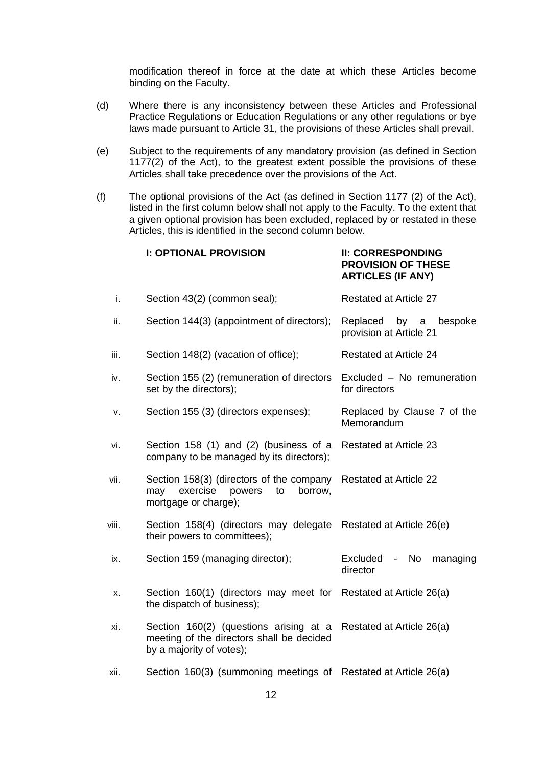modification thereof in force at the date at which these Articles become binding on the Faculty.

- (d) Where there is any inconsistency between these Articles and Professional Practice Regulations or Education Regulations or any other regulations or bye laws made pursuant to Article 31, the provisions of these Articles shall prevail.
- (e) Subject to the requirements of any mandatory provision (as defined in Section 1177(2) of the Act), to the greatest extent possible the provisions of these Articles shall take precedence over the provisions of the Act.
- (f) The optional provisions of the Act (as defined in Section 1177 (2) of the Act), listed in the first column below shall not apply to the Faculty. To the extent that a given optional provision has been excluded, replaced by or restated in these Articles, this is identified in the second column below.

|       | <b>I: OPTIONAL PROVISION</b>                                                                                    | <b>II: CORRESPONDING</b><br><b>PROVISION OF THESE</b><br><b>ARTICLES (IF ANY)</b> |
|-------|-----------------------------------------------------------------------------------------------------------------|-----------------------------------------------------------------------------------|
| i.    | Section 43(2) (common seal);                                                                                    | <b>Restated at Article 27</b>                                                     |
| ii.   | Section 144(3) (appointment of directors);                                                                      | Replaced<br>by<br>$\mathsf{a}$<br>bespoke<br>provision at Article 21              |
| iii.  | Section 148(2) (vacation of office);                                                                            | <b>Restated at Article 24</b>                                                     |
| iv.   | Section 155 (2) (remuneration of directors<br>set by the directors);                                            | Excluded - No remuneration<br>for directors                                       |
| ۷.    | Section 155 (3) (directors expenses);                                                                           | Replaced by Clause 7 of the<br>Memorandum                                         |
| vi.   | Section 158 (1) and (2) (business of a<br>company to be managed by its directors);                              | <b>Restated at Article 23</b>                                                     |
| vii.  | Section 158(3) (directors of the company<br>exercise<br>may<br>powers<br>to<br>borrow,<br>mortgage or charge);  | <b>Restated at Article 22</b>                                                     |
| viii. | Section 158(4) (directors may delegate<br>their powers to committees);                                          | Restated at Article 26(e)                                                         |
| ix.   | Section 159 (managing director);                                                                                | Excluded<br>No<br>managing<br>$\qquad \qquad -$<br>director                       |
| х.    | Section 160(1) (directors may meet for<br>the dispatch of business);                                            | Restated at Article 26(a)                                                         |
| xi.   | Section 160(2) (questions arising at a<br>meeting of the directors shall be decided<br>by a majority of votes); | Restated at Article 26(a)                                                         |
| xii.  | Section 160(3) (summoning meetings of                                                                           | Restated at Article 26(a)                                                         |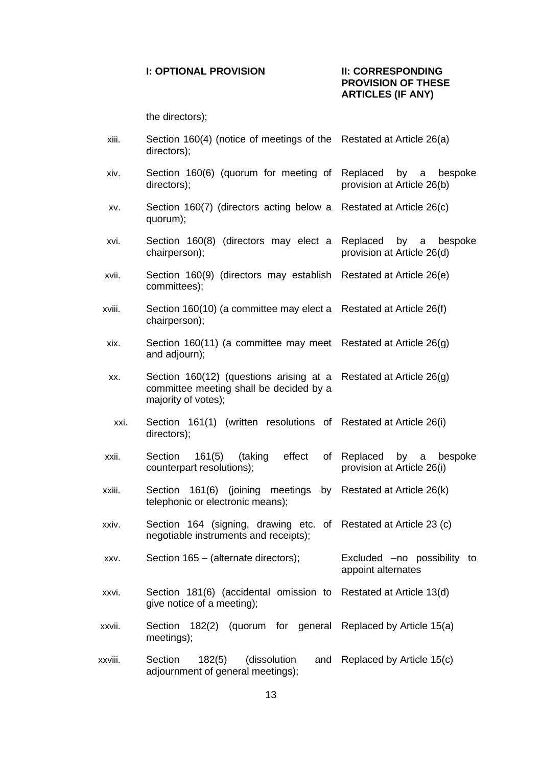#### **I: OPTIONAL PROVISION II: CORRESPONDING**

# **PROVISION OF THESE ARTICLES (IF ANY)**

the directors);

- xiii. Section 160(4) (notice of meetings of the Restated at Article 26(a) directors);
- xiv. Section 160(6) (quorum for meeting of directors); Replaced by a bespoke provision at Article 26(b)
- xv. Section 160(7) (directors acting below a Restated at Article 26(c) quorum);
- xvi. Section 160(8) (directors may elect a Replaced by a bespoke chairperson); provision at Article 26(d)
- xvii. Section 160(9) (directors may establish Restated at Article 26(e) committees);
- xviii. Section 160(10) (a committee may elect a Restated at Article 26(f) chairperson);
- xix. Section 160(11) (a committee may meet Restated at Article 26(g) and adjourn);
- xx. Section 160(12) (questions arising at a Restated at Article 26(g) committee meeting shall be decided by a majority of votes);
- xxi. Section 161(1) (written resolutions of Restated at Article 26(i) directors);
- xxii. Section 161(5) (taking effect of counterpart resolutions); Replaced by a bespoke provision at Article 26(i)
- xxiii. Section 161(6) (joining meetings by telephonic or electronic means); Restated at Article 26(k)
- xxiv. Section 164 (signing, drawing etc. of Restated at Article 23 (c) negotiable instruments and receipts);
- xxv. Section 165 (alternate directors); Excluded –no possibility to appoint alternates
- xxvi. Section 181(6) (accidental omission to Restated at Article 13(d) give notice of a meeting);
- xxvii. Section 182(2) (quorum for general Replaced by Article 15(a) meetings);
- xxviii. Section 182(5) (dissolution adjournment of general meetings); and Replaced by Article  $15(c)$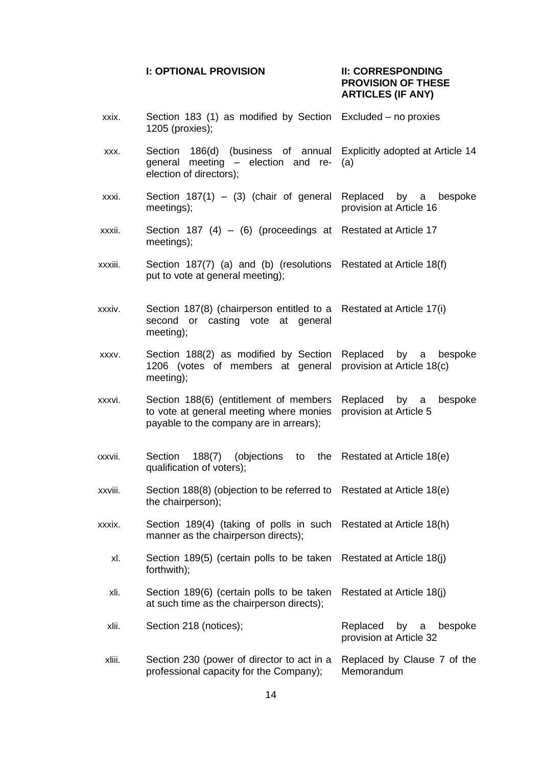#### **I: OPTIONAL PROVISION II: CORRESPONDING**

# **PROVISION OF THESE ARTICLES (IF ANY)**

xxix. Section 183 (1) as modified by Section Excluded – no proxies 1205 (proxies); xxx. Section 186(d) (business of annual general meeting – election and reelection of directors); Explicitly adopted at Article 14 (a) xxxi. Section  $187(1) - (3)$  (chair of general meetings); Replaced by a bespoke provision at Article 16 xxxii. Section 187 (4) – (6) (proceedings at Restated at Article 17 meetings); xxxiii. Section 187(7) (a) and (b) (resolutions Restated at Article 18(f) put to vote at general meeting); xxxiv. Section 187(8) (chairperson entitled to a second or casting vote at general meeting); Restated at Article 17(i) xxxv. Section 188(2) as modified by Section 1206 (votes of members at general provision at Article 18(c) meeting); Replaced by a bespoke xxxvi. Section 188(6) (entitlement of members to vote at general meeting where monies payable to the company are in arrears); Replaced by a bespoke provision at Article 5  $xxvii.$  Section 188 $(7)$  (objections to qualification of voters); the Restated at Article 18(e) xxxviii. Section 188(8) (objection to be referred to Restated at Article 18(e) the chairperson); xxxix. Section 189(4) (taking of polls in such Restated at Article 18(h) manner as the chairperson directs); xl. Section 189(5) (certain polls to be taken Restated at Article 18(j) forthwith); xli. Section 189(6) (certain polls to be taken at such time as the chairperson directs); Restated at Article 18(j) xlii. Section 218 (notices); Subsetion 218 (notices); Replaced by a bespoke provision at Article 32 xliii. Section 230 (power of director to act in a Replaced by Clause 7 of the professional capacity for the Company); **Memorandum**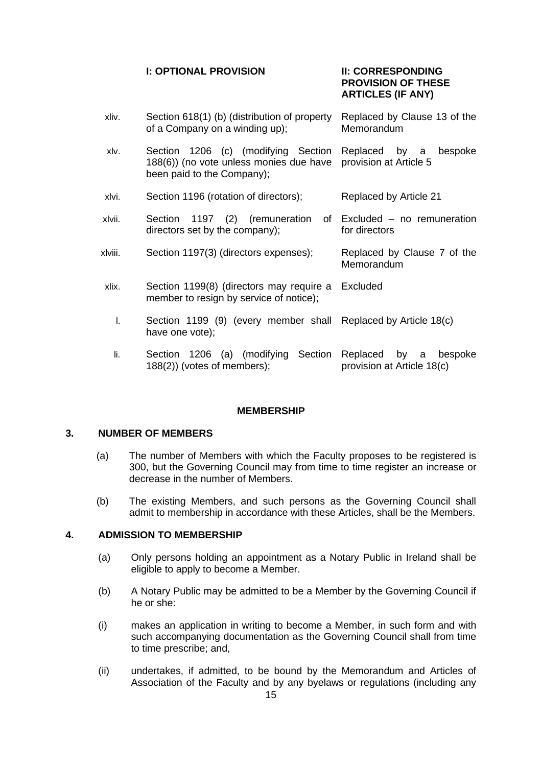## **I: OPTIONAL PROVISION II: CORRESPONDING**

# **PROVISION OF THESE ARTICLES (IF ANY)**

| xliv.   | Section 618(1) (b) (distribution of property<br>of a Company on a winding up);                               | Replaced by Clause 13 of the<br>Memorandum             |
|---------|--------------------------------------------------------------------------------------------------------------|--------------------------------------------------------|
| xlv.    | Section 1206 (c) (modifying Section<br>188(6)) (no vote unless monies due have<br>been paid to the Company); | Replaced by a<br>bespoke<br>provision at Article 5     |
| xlvi.   | Section 1196 (rotation of directors);                                                                        | Replaced by Article 21                                 |
| xlvii.  | Section 1197 (2) (remuneration of Excluded – no remuneration<br>directors set by the company);               | for directors                                          |
| xlviii. | Section 1197(3) (directors expenses);                                                                        | Replaced by Clause 7 of the<br>Memorandum              |
| xlix.   | Section 1199(8) (directors may require a Excluded<br>member to resign by service of notice);                 |                                                        |
| T.      | Section 1199 (9) (every member shall Replaced by Article 18(c)<br>have one vote);                            |                                                        |
| li.     | Section 1206 (a) (modifying Section<br>$188(2)$ ) (votes of members);                                        | by a bespoke<br>Replaced<br>provision at Article 18(c) |

#### **MEMBERSHIP**

## **3. NUMBER OF MEMBERS**

- (a) The number of Members with which the Faculty proposes to be registered is 300, but the Governing Council may from time to time register an increase or decrease in the number of Members.
- (b) The existing Members, and such persons as the Governing Council shall admit to membership in accordance with these Articles, shall be the Members.

## **4. ADMISSION TO MEMBERSHIP**

- (a) Only persons holding an appointment as a Notary Public in Ireland shall be eligible to apply to become a Member.
- (b) A Notary Public may be admitted to be a Member by the Governing Council if he or she:
- (i) makes an application in writing to become a Member, in such form and with such accompanying documentation as the Governing Council shall from time to time prescribe; and,
- (ii) undertakes, if admitted, to be bound by the Memorandum and Articles of Association of the Faculty and by any byelaws or regulations (including any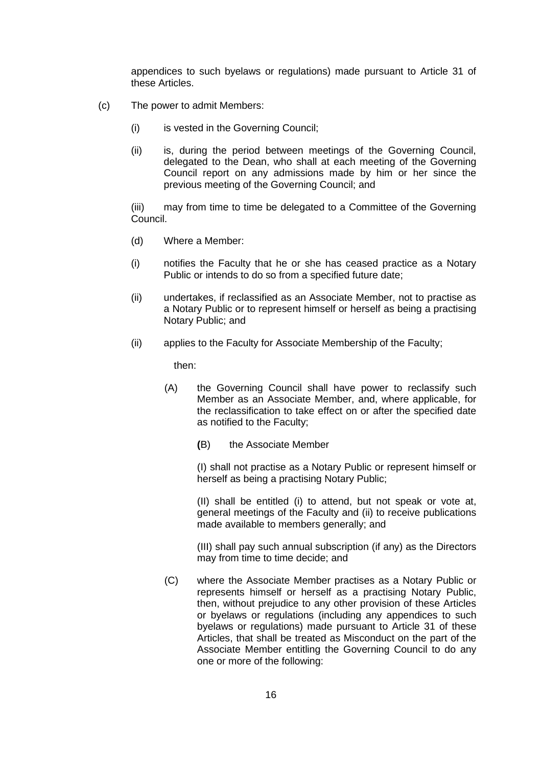appendices to such byelaws or regulations) made pursuant to Article 31 of these Articles.

- (c) The power to admit Members:
	- (i) is vested in the Governing Council;
	- (ii) is, during the period between meetings of the Governing Council, delegated to the Dean, who shall at each meeting of the Governing Council report on any admissions made by him or her since the previous meeting of the Governing Council; and

(iii) may from time to time be delegated to a Committee of the Governing Council.

- (d) Where a Member:
- (i) notifies the Faculty that he or she has ceased practice as a Notary Public or intends to do so from a specified future date;
- (ii) undertakes, if reclassified as an Associate Member, not to practise as a Notary Public or to represent himself or herself as being a practising Notary Public; and
- (ii) applies to the Faculty for Associate Membership of the Faculty;

then:

- (A) the Governing Council shall have power to reclassify such Member as an Associate Member, and, where applicable, for the reclassification to take effect on or after the specified date as notified to the Faculty;
	- **(**B) the Associate Member

(I) shall not practise as a Notary Public or represent himself or herself as being a practising Notary Public;

(II) shall be entitled (i) to attend, but not speak or vote at, general meetings of the Faculty and (ii) to receive publications made available to members generally; and

(III) shall pay such annual subscription (if any) as the Directors may from time to time decide; and

(C) where the Associate Member practises as a Notary Public or represents himself or herself as a practising Notary Public, then, without prejudice to any other provision of these Articles or byelaws or regulations (including any appendices to such byelaws or regulations) made pursuant to Article 31 of these Articles, that shall be treated as Misconduct on the part of the Associate Member entitling the Governing Council to do any one or more of the following: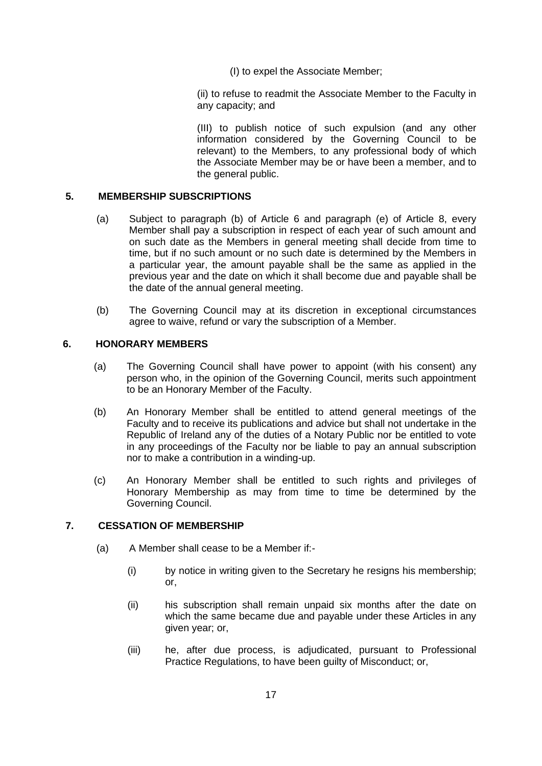(I) to expel the Associate Member;

(ii) to refuse to readmit the Associate Member to the Faculty in any capacity; and

(III) to publish notice of such expulsion (and any other information considered by the Governing Council to be relevant) to the Members, to any professional body of which the Associate Member may be or have been a member, and to the general public.

## **5. MEMBERSHIP SUBSCRIPTIONS**

- (a) Subject to paragraph (b) of Article 6 and paragraph (e) of Article 8, every Member shall pay a subscription in respect of each year of such amount and on such date as the Members in general meeting shall decide from time to time, but if no such amount or no such date is determined by the Members in a particular year, the amount payable shall be the same as applied in the previous year and the date on which it shall become due and payable shall be the date of the annual general meeting.
- (b) The Governing Council may at its discretion in exceptional circumstances agree to waive, refund or vary the subscription of a Member.

## **6. HONORARY MEMBERS**

- (a) The Governing Council shall have power to appoint (with his consent) any person who, in the opinion of the Governing Council, merits such appointment to be an Honorary Member of the Faculty.
- (b) An Honorary Member shall be entitled to attend general meetings of the Faculty and to receive its publications and advice but shall not undertake in the Republic of Ireland any of the duties of a Notary Public nor be entitled to vote in any proceedings of the Faculty nor be liable to pay an annual subscription nor to make a contribution in a winding-up.
- (c) An Honorary Member shall be entitled to such rights and privileges of Honorary Membership as may from time to time be determined by the Governing Council.

## **7. CESSATION OF MEMBERSHIP**

- (a) A Member shall cease to be a Member if:-
	- (i) by notice in writing given to the Secretary he resigns his membership; or,
	- (ii) his subscription shall remain unpaid six months after the date on which the same became due and payable under these Articles in any given year; or,
	- (iii) he, after due process, is adjudicated, pursuant to Professional Practice Regulations, to have been guilty of Misconduct; or,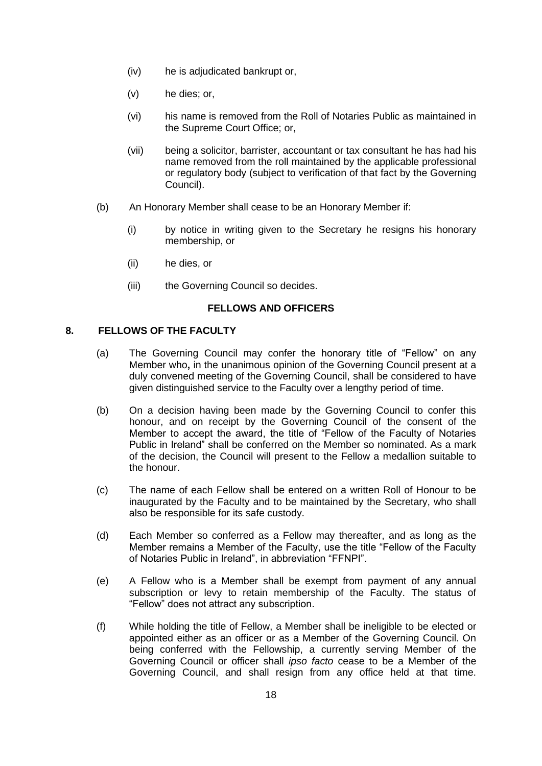- (iv) he is adjudicated bankrupt or,
- (v) he dies; or,
- (vi) his name is removed from the Roll of Notaries Public as maintained in the Supreme Court Office; or,
- (vii) being a solicitor, barrister, accountant or tax consultant he has had his name removed from the roll maintained by the applicable professional or regulatory body (subject to verification of that fact by the Governing Council).
- (b) An Honorary Member shall cease to be an Honorary Member if:
	- (i) by notice in writing given to the Secretary he resigns his honorary membership, or
	- (ii) he dies, or
	- (iii) the Governing Council so decides.

## **FELLOWS AND OFFICERS**

#### **8. FELLOWS OF THE FACULTY**

- (a) The Governing Council may confer the honorary title of "Fellow" on any Member who**,** in the unanimous opinion of the Governing Council present at a duly convened meeting of the Governing Council, shall be considered to have given distinguished service to the Faculty over a lengthy period of time.
- (b) On a decision having been made by the Governing Council to confer this honour, and on receipt by the Governing Council of the consent of the Member to accept the award, the title of "Fellow of the Faculty of Notaries Public in Ireland" shall be conferred on the Member so nominated. As a mark of the decision, the Council will present to the Fellow a medallion suitable to the honour.
- (c) The name of each Fellow shall be entered on a written Roll of Honour to be inaugurated by the Faculty and to be maintained by the Secretary, who shall also be responsible for its safe custody.
- (d) Each Member so conferred as a Fellow may thereafter, and as long as the Member remains a Member of the Faculty, use the title "Fellow of the Faculty of Notaries Public in Ireland", in abbreviation "FFNPI".
- (e) A Fellow who is a Member shall be exempt from payment of any annual subscription or levy to retain membership of the Faculty. The status of "Fellow" does not attract any subscription.
- (f) While holding the title of Fellow, a Member shall be ineligible to be elected or appointed either as an officer or as a Member of the Governing Council. On being conferred with the Fellowship, a currently serving Member of the Governing Council or officer shall *ipso facto* cease to be a Member of the Governing Council, and shall resign from any office held at that time.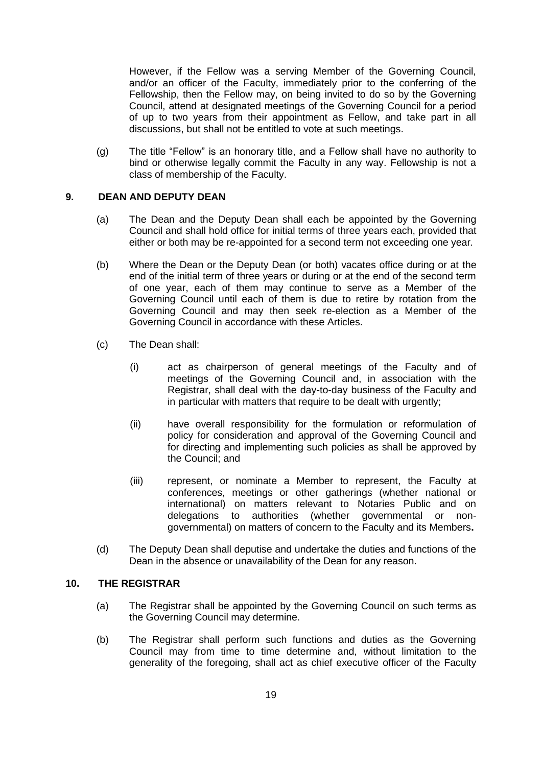However, if the Fellow was a serving Member of the Governing Council, and/or an officer of the Faculty, immediately prior to the conferring of the Fellowship, then the Fellow may, on being invited to do so by the Governing Council, attend at designated meetings of the Governing Council for a period of up to two years from their appointment as Fellow, and take part in all discussions, but shall not be entitled to vote at such meetings.

(g) The title "Fellow" is an honorary title, and a Fellow shall have no authority to bind or otherwise legally commit the Faculty in any way. Fellowship is not a class of membership of the Faculty.

## **9. DEAN AND DEPUTY DEAN**

- (a) The Dean and the Deputy Dean shall each be appointed by the Governing Council and shall hold office for initial terms of three years each, provided that either or both may be re-appointed for a second term not exceeding one year*.*
- (b) Where the Dean or the Deputy Dean (or both) vacates office during or at the end of the initial term of three years or during or at the end of the second term of one year, each of them may continue to serve as a Member of the Governing Council until each of them is due to retire by rotation from the Governing Council and may then seek re-election as a Member of the Governing Council in accordance with these Articles.
- (c) The Dean shall:
	- (i) act as chairperson of general meetings of the Faculty and of meetings of the Governing Council and, in association with the Registrar, shall deal with the day-to-day business of the Faculty and in particular with matters that require to be dealt with urgently;
	- (ii) have overall responsibility for the formulation or reformulation of policy for consideration and approval of the Governing Council and for directing and implementing such policies as shall be approved by the Council; and
	- (iii) represent, or nominate a Member to represent, the Faculty at conferences, meetings or other gatherings (whether national or international) on matters relevant to Notaries Public and on delegations to authorities (whether governmental or nongovernmental) on matters of concern to the Faculty and its Members**.**
- (d) The Deputy Dean shall deputise and undertake the duties and functions of the Dean in the absence or unavailability of the Dean for any reason.

## **10. THE REGISTRAR**

- (a) The Registrar shall be appointed by the Governing Council on such terms as the Governing Council may determine.
- (b) The Registrar shall perform such functions and duties as the Governing Council may from time to time determine and, without limitation to the generality of the foregoing, shall act as chief executive officer of the Faculty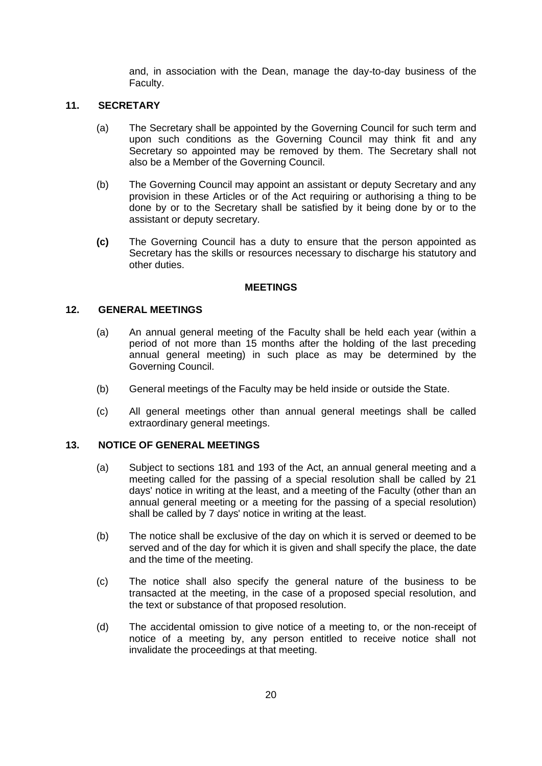and, in association with the Dean, manage the day-to-day business of the Faculty.

## **11. SECRETARY**

- (a) The Secretary shall be appointed by the Governing Council for such term and upon such conditions as the Governing Council may think fit and any Secretary so appointed may be removed by them. The Secretary shall not also be a Member of the Governing Council.
- (b) The Governing Council may appoint an assistant or deputy Secretary and any provision in these Articles or of the Act requiring or authorising a thing to be done by or to the Secretary shall be satisfied by it being done by or to the assistant or deputy secretary.
- **(c)** The Governing Council has a duty to ensure that the person appointed as Secretary has the skills or resources necessary to discharge his statutory and other duties.

#### **MEETINGS**

#### **12. GENERAL MEETINGS**

- (a) An annual general meeting of the Faculty shall be held each year (within a period of not more than 15 months after the holding of the last preceding annual general meeting) in such place as may be determined by the Governing Council.
- (b) General meetings of the Faculty may be held inside or outside the State.
- (c) All general meetings other than annual general meetings shall be called extraordinary general meetings.

### **13. NOTICE OF GENERAL MEETINGS**

- (a) Subject to sections 181 and 193 of the Act, an annual general meeting and a meeting called for the passing of a special resolution shall be called by 21 days' notice in writing at the least, and a meeting of the Faculty (other than an annual general meeting or a meeting for the passing of a special resolution) shall be called by 7 days' notice in writing at the least.
- (b) The notice shall be exclusive of the day on which it is served or deemed to be served and of the day for which it is given and shall specify the place, the date and the time of the meeting.
- (c) The notice shall also specify the general nature of the business to be transacted at the meeting, in the case of a proposed special resolution, and the text or substance of that proposed resolution.
- (d) The accidental omission to give notice of a meeting to, or the non-receipt of notice of a meeting by, any person entitled to receive notice shall not invalidate the proceedings at that meeting.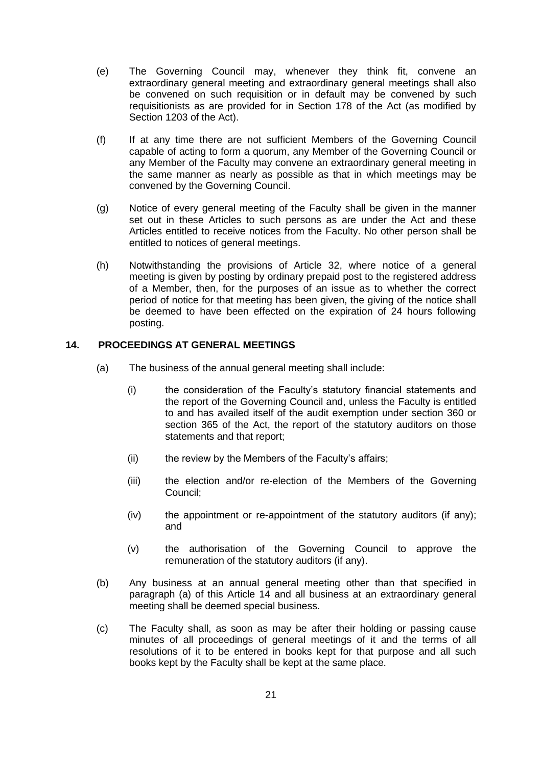- (e) The Governing Council may, whenever they think fit, convene an extraordinary general meeting and extraordinary general meetings shall also be convened on such requisition or in default may be convened by such requisitionists as are provided for in Section 178 of the Act (as modified by Section 1203 of the Act).
- (f) If at any time there are not sufficient Members of the Governing Council capable of acting to form a quorum, any Member of the Governing Council or any Member of the Faculty may convene an extraordinary general meeting in the same manner as nearly as possible as that in which meetings may be convened by the Governing Council.
- (g) Notice of every general meeting of the Faculty shall be given in the manner set out in these Articles to such persons as are under the Act and these Articles entitled to receive notices from the Faculty. No other person shall be entitled to notices of general meetings.
- (h) Notwithstanding the provisions of Article 32, where notice of a general meeting is given by posting by ordinary prepaid post to the registered address of a Member, then, for the purposes of an issue as to whether the correct period of notice for that meeting has been given, the giving of the notice shall be deemed to have been effected on the expiration of 24 hours following posting.

## **14. PROCEEDINGS AT GENERAL MEETINGS**

- (a) The business of the annual general meeting shall include:
	- (i) the consideration of the Faculty's statutory financial statements and the report of the Governing Council and, unless the Faculty is entitled to and has availed itself of the audit exemption under section 360 or section 365 of the Act, the report of the statutory auditors on those statements and that report;
	- (ii) the review by the Members of the Faculty's affairs;
	- (iii) the election and/or re-election of the Members of the Governing Council;
	- (iv) the appointment or re-appointment of the statutory auditors (if any); and
	- (v) the authorisation of the Governing Council to approve the remuneration of the statutory auditors (if any).
- (b) Any business at an annual general meeting other than that specified in paragraph (a) of this Article 14 and all business at an extraordinary general meeting shall be deemed special business.
- (c) The Faculty shall, as soon as may be after their holding or passing cause minutes of all proceedings of general meetings of it and the terms of all resolutions of it to be entered in books kept for that purpose and all such books kept by the Faculty shall be kept at the same place.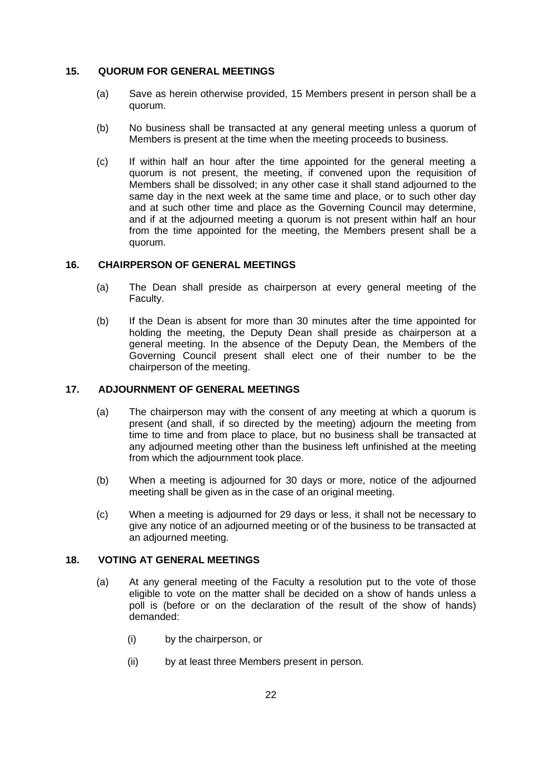#### **15. QUORUM FOR GENERAL MEETINGS**

- (a) Save as herein otherwise provided, 15 Members present in person shall be a quorum.
- (b) No business shall be transacted at any general meeting unless a quorum of Members is present at the time when the meeting proceeds to business.
- (c) If within half an hour after the time appointed for the general meeting a quorum is not present, the meeting, if convened upon the requisition of Members shall be dissolved; in any other case it shall stand adjourned to the same day in the next week at the same time and place, or to such other day and at such other time and place as the Governing Council may determine, and if at the adjourned meeting a quorum is not present within half an hour from the time appointed for the meeting, the Members present shall be a quorum.

## **16. CHAIRPERSON OF GENERAL MEETINGS**

- (a) The Dean shall preside as chairperson at every general meeting of the Faculty.
- (b) If the Dean is absent for more than 30 minutes after the time appointed for holding the meeting, the Deputy Dean shall preside as chairperson at a general meeting. In the absence of the Deputy Dean, the Members of the Governing Council present shall elect one of their number to be the chairperson of the meeting.

## **17. ADJOURNMENT OF GENERAL MEETINGS**

- (a) The chairperson may with the consent of any meeting at which a quorum is present (and shall, if so directed by the meeting) adjourn the meeting from time to time and from place to place, but no business shall be transacted at any adjourned meeting other than the business left unfinished at the meeting from which the adjournment took place.
- (b) When a meeting is adjourned for 30 days or more, notice of the adjourned meeting shall be given as in the case of an original meeting.
- (c) When a meeting is adjourned for 29 days or less, it shall not be necessary to give any notice of an adjourned meeting or of the business to be transacted at an adjourned meeting.

#### **18. VOTING AT GENERAL MEETINGS**

- (a) At any general meeting of the Faculty a resolution put to the vote of those eligible to vote on the matter shall be decided on a show of hands unless a poll is (before or on the declaration of the result of the show of hands) demanded:
	- (i) by the chairperson, or
	- (ii) by at least three Members present in person.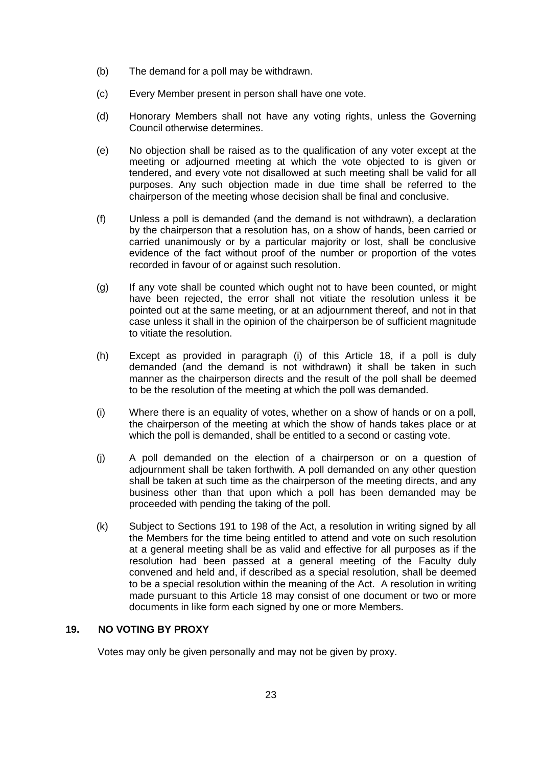- (b) The demand for a poll may be withdrawn.
- (c) Every Member present in person shall have one vote.
- (d) Honorary Members shall not have any voting rights, unless the Governing Council otherwise determines.
- (e) No objection shall be raised as to the qualification of any voter except at the meeting or adjourned meeting at which the vote objected to is given or tendered, and every vote not disallowed at such meeting shall be valid for all purposes. Any such objection made in due time shall be referred to the chairperson of the meeting whose decision shall be final and conclusive.
- (f) Unless a poll is demanded (and the demand is not withdrawn), a declaration by the chairperson that a resolution has, on a show of hands, been carried or carried unanimously or by a particular majority or lost, shall be conclusive evidence of the fact without proof of the number or proportion of the votes recorded in favour of or against such resolution.
- (g) If any vote shall be counted which ought not to have been counted, or might have been rejected, the error shall not vitiate the resolution unless it be pointed out at the same meeting, or at an adjournment thereof, and not in that case unless it shall in the opinion of the chairperson be of sufficient magnitude to vitiate the resolution.
- (h) Except as provided in paragraph (i) of this Article 18, if a poll is duly demanded (and the demand is not withdrawn) it shall be taken in such manner as the chairperson directs and the result of the poll shall be deemed to be the resolution of the meeting at which the poll was demanded.
- (i) Where there is an equality of votes, whether on a show of hands or on a poll, the chairperson of the meeting at which the show of hands takes place or at which the poll is demanded, shall be entitled to a second or casting vote.
- (j) A poll demanded on the election of a chairperson or on a question of adjournment shall be taken forthwith. A poll demanded on any other question shall be taken at such time as the chairperson of the meeting directs, and any business other than that upon which a poll has been demanded may be proceeded with pending the taking of the poll.
- (k) Subject to Sections 191 to 198 of the Act, a resolution in writing signed by all the Members for the time being entitled to attend and vote on such resolution at a general meeting shall be as valid and effective for all purposes as if the resolution had been passed at a general meeting of the Faculty duly convened and held and, if described as a special resolution, shall be deemed to be a special resolution within the meaning of the Act. A resolution in writing made pursuant to this Article 18 may consist of one document or two or more documents in like form each signed by one or more Members.

## **19. NO VOTING BY PROXY**

Votes may only be given personally and may not be given by proxy.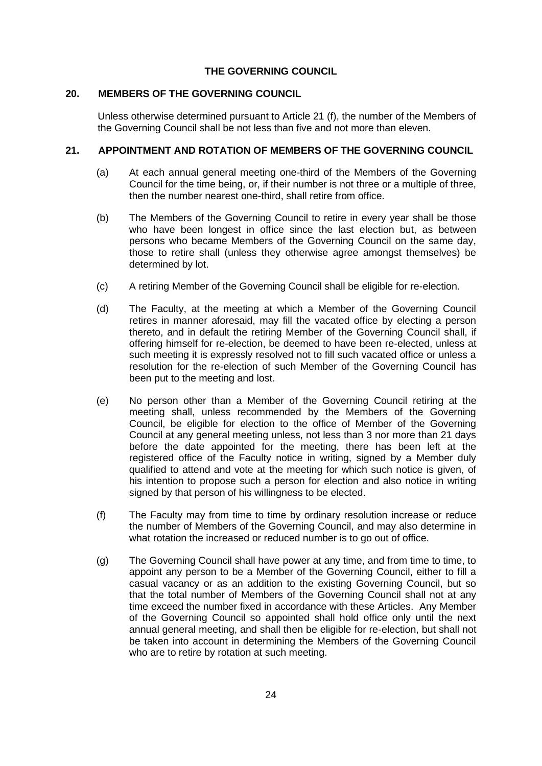## **THE GOVERNING COUNCIL**

### **20. MEMBERS OF THE GOVERNING COUNCIL**

Unless otherwise determined pursuant to Article 21 (f), the number of the Members of the Governing Council shall be not less than five and not more than eleven.

## **21. APPOINTMENT AND ROTATION OF MEMBERS OF THE GOVERNING COUNCIL**

- (a) At each annual general meeting one-third of the Members of the Governing Council for the time being, or, if their number is not three or a multiple of three, then the number nearest one-third, shall retire from office.
- (b) The Members of the Governing Council to retire in every year shall be those who have been longest in office since the last election but, as between persons who became Members of the Governing Council on the same day, those to retire shall (unless they otherwise agree amongst themselves) be determined by lot.
- (c) A retiring Member of the Governing Council shall be eligible for re-election.
- (d) The Faculty, at the meeting at which a Member of the Governing Council retires in manner aforesaid, may fill the vacated office by electing a person thereto, and in default the retiring Member of the Governing Council shall, if offering himself for re-election, be deemed to have been re-elected, unless at such meeting it is expressly resolved not to fill such vacated office or unless a resolution for the re-election of such Member of the Governing Council has been put to the meeting and lost.
- (e) No person other than a Member of the Governing Council retiring at the meeting shall, unless recommended by the Members of the Governing Council, be eligible for election to the office of Member of the Governing Council at any general meeting unless, not less than 3 nor more than 21 days before the date appointed for the meeting, there has been left at the registered office of the Faculty notice in writing, signed by a Member duly qualified to attend and vote at the meeting for which such notice is given, of his intention to propose such a person for election and also notice in writing signed by that person of his willingness to be elected.
- (f) The Faculty may from time to time by ordinary resolution increase or reduce the number of Members of the Governing Council, and may also determine in what rotation the increased or reduced number is to go out of office.
- (g) The Governing Council shall have power at any time, and from time to time, to appoint any person to be a Member of the Governing Council, either to fill a casual vacancy or as an addition to the existing Governing Council, but so that the total number of Members of the Governing Council shall not at any time exceed the number fixed in accordance with these Articles. Any Member of the Governing Council so appointed shall hold office only until the next annual general meeting, and shall then be eligible for re-election, but shall not be taken into account in determining the Members of the Governing Council who are to retire by rotation at such meeting.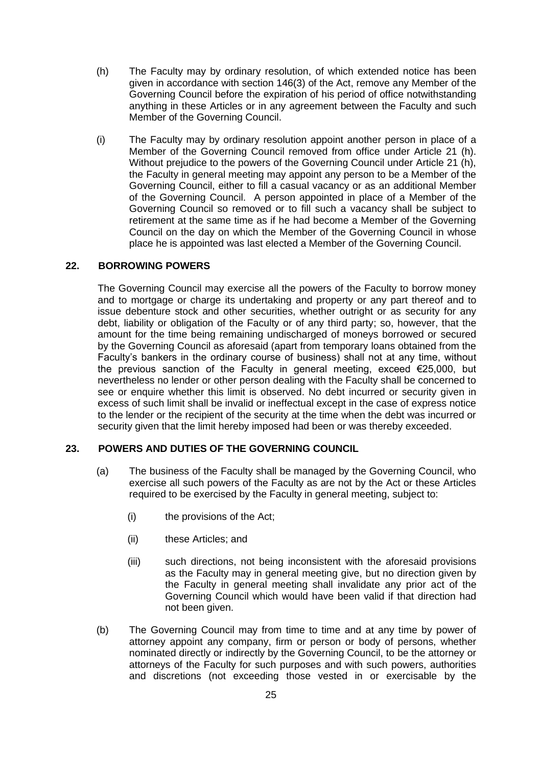- (h) The Faculty may by ordinary resolution, of which extended notice has been given in accordance with section 146(3) of the Act, remove any Member of the Governing Council before the expiration of his period of office notwithstanding anything in these Articles or in any agreement between the Faculty and such Member of the Governing Council.
- (i) The Faculty may by ordinary resolution appoint another person in place of a Member of the Governing Council removed from office under Article 21 (h). Without prejudice to the powers of the Governing Council under Article 21 (h), the Faculty in general meeting may appoint any person to be a Member of the Governing Council, either to fill a casual vacancy or as an additional Member of the Governing Council. A person appointed in place of a Member of the Governing Council so removed or to fill such a vacancy shall be subject to retirement at the same time as if he had become a Member of the Governing Council on the day on which the Member of the Governing Council in whose place he is appointed was last elected a Member of the Governing Council.

#### **22. BORROWING POWERS**

The Governing Council may exercise all the powers of the Faculty to borrow money and to mortgage or charge its undertaking and property or any part thereof and to issue debenture stock and other securities, whether outright or as security for any debt, liability or obligation of the Faculty or of any third party; so, however, that the amount for the time being remaining undischarged of moneys borrowed or secured by the Governing Council as aforesaid (apart from temporary loans obtained from the Faculty's bankers in the ordinary course of business) shall not at any time, without the previous sanction of the Faculty in general meeting, exceed €25,000, but nevertheless no lender or other person dealing with the Faculty shall be concerned to see or enquire whether this limit is observed. No debt incurred or security given in excess of such limit shall be invalid or ineffectual except in the case of express notice to the lender or the recipient of the security at the time when the debt was incurred or security given that the limit hereby imposed had been or was thereby exceeded.

## **23. POWERS AND DUTIES OF THE GOVERNING COUNCIL**

- (a) The business of the Faculty shall be managed by the Governing Council, who exercise all such powers of the Faculty as are not by the Act or these Articles required to be exercised by the Faculty in general meeting, subject to:
	- (i) the provisions of the Act;
	- (ii) these Articles; and
	- (iii) such directions, not being inconsistent with the aforesaid provisions as the Faculty may in general meeting give, but no direction given by the Faculty in general meeting shall invalidate any prior act of the Governing Council which would have been valid if that direction had not been given.
- (b) The Governing Council may from time to time and at any time by power of attorney appoint any company, firm or person or body of persons, whether nominated directly or indirectly by the Governing Council, to be the attorney or attorneys of the Faculty for such purposes and with such powers, authorities and discretions (not exceeding those vested in or exercisable by the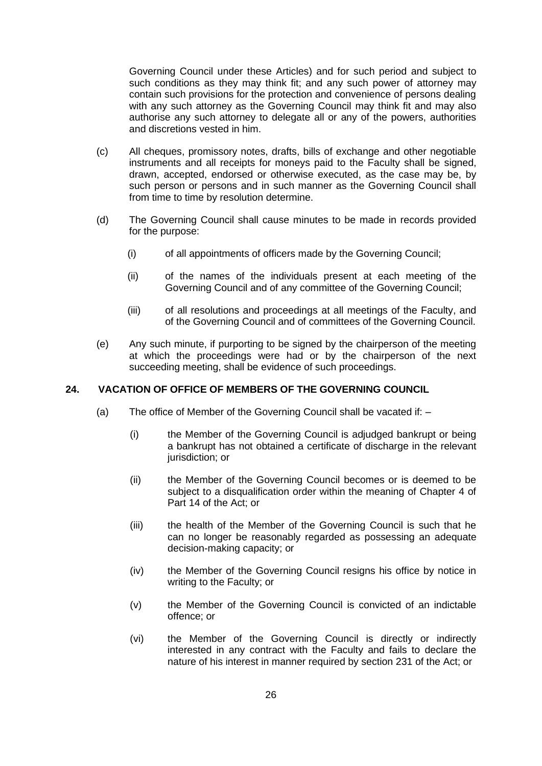Governing Council under these Articles) and for such period and subject to such conditions as they may think fit; and any such power of attorney may contain such provisions for the protection and convenience of persons dealing with any such attorney as the Governing Council may think fit and may also authorise any such attorney to delegate all or any of the powers, authorities and discretions vested in him.

- (c) All cheques, promissory notes, drafts, bills of exchange and other negotiable instruments and all receipts for moneys paid to the Faculty shall be signed, drawn, accepted, endorsed or otherwise executed, as the case may be, by such person or persons and in such manner as the Governing Council shall from time to time by resolution determine.
- (d) The Governing Council shall cause minutes to be made in records provided for the purpose:
	- (i) of all appointments of officers made by the Governing Council;
	- (ii) of the names of the individuals present at each meeting of the Governing Council and of any committee of the Governing Council;
	- (iii) of all resolutions and proceedings at all meetings of the Faculty, and of the Governing Council and of committees of the Governing Council.
- (e) Any such minute, if purporting to be signed by the chairperson of the meeting at which the proceedings were had or by the chairperson of the next succeeding meeting, shall be evidence of such proceedings.

#### **24. VACATION OF OFFICE OF MEMBERS OF THE GOVERNING COUNCIL**

- (a) The office of Member of the Governing Council shall be vacated if:
	- (i) the Member of the Governing Council is adjudged bankrupt or being a bankrupt has not obtained a certificate of discharge in the relevant jurisdiction; or
	- (ii) the Member of the Governing Council becomes or is deemed to be subject to a disqualification order within the meaning of Chapter 4 of Part 14 of the Act; or
	- (iii) the health of the Member of the Governing Council is such that he can no longer be reasonably regarded as possessing an adequate decision-making capacity; or
	- (iv) the Member of the Governing Council resigns his office by notice in writing to the Faculty; or
	- (v) the Member of the Governing Council is convicted of an indictable offence; or
	- (vi) the Member of the Governing Council is directly or indirectly interested in any contract with the Faculty and fails to declare the nature of his interest in manner required by section 231 of the Act; or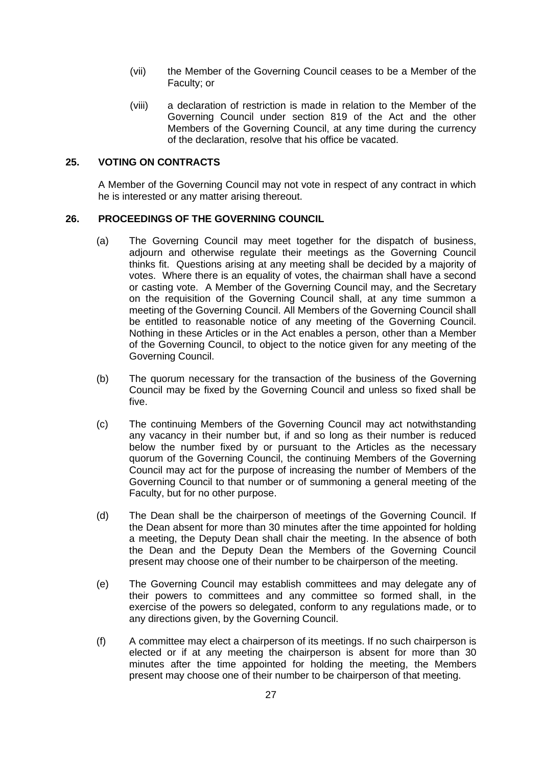- (vii) the Member of the Governing Council ceases to be a Member of the Faculty; or
- (viii) a declaration of restriction is made in relation to the Member of the Governing Council under section 819 of the Act and the other Members of the Governing Council, at any time during the currency of the declaration, resolve that his office be vacated.

#### **25. VOTING ON CONTRACTS**

A Member of the Governing Council may not vote in respect of any contract in which he is interested or any matter arising thereout.

## **26. PROCEEDINGS OF THE GOVERNING COUNCIL**

- (a) The Governing Council may meet together for the dispatch of business, adjourn and otherwise regulate their meetings as the Governing Council thinks fit. Questions arising at any meeting shall be decided by a majority of votes. Where there is an equality of votes, the chairman shall have a second or casting vote. A Member of the Governing Council may, and the Secretary on the requisition of the Governing Council shall, at any time summon a meeting of the Governing Council. All Members of the Governing Council shall be entitled to reasonable notice of any meeting of the Governing Council. Nothing in these Articles or in the Act enables a person, other than a Member of the Governing Council, to object to the notice given for any meeting of the Governing Council.
- (b) The quorum necessary for the transaction of the business of the Governing Council may be fixed by the Governing Council and unless so fixed shall be five.
- (c) The continuing Members of the Governing Council may act notwithstanding any vacancy in their number but, if and so long as their number is reduced below the number fixed by or pursuant to the Articles as the necessary quorum of the Governing Council, the continuing Members of the Governing Council may act for the purpose of increasing the number of Members of the Governing Council to that number or of summoning a general meeting of the Faculty, but for no other purpose.
- (d) The Dean shall be the chairperson of meetings of the Governing Council. If the Dean absent for more than 30 minutes after the time appointed for holding a meeting, the Deputy Dean shall chair the meeting. In the absence of both the Dean and the Deputy Dean the Members of the Governing Council present may choose one of their number to be chairperson of the meeting.
- (e) The Governing Council may establish committees and may delegate any of their powers to committees and any committee so formed shall, in the exercise of the powers so delegated, conform to any regulations made, or to any directions given, by the Governing Council.
- (f) A committee may elect a chairperson of its meetings. If no such chairperson is elected or if at any meeting the chairperson is absent for more than 30 minutes after the time appointed for holding the meeting, the Members present may choose one of their number to be chairperson of that meeting.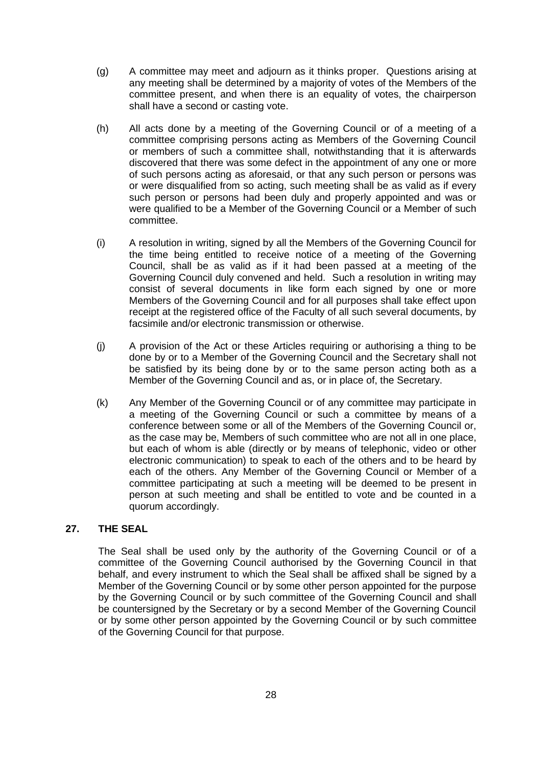- (g) A committee may meet and adjourn as it thinks proper. Questions arising at any meeting shall be determined by a majority of votes of the Members of the committee present, and when there is an equality of votes, the chairperson shall have a second or casting vote.
- (h) All acts done by a meeting of the Governing Council or of a meeting of a committee comprising persons acting as Members of the Governing Council or members of such a committee shall, notwithstanding that it is afterwards discovered that there was some defect in the appointment of any one or more of such persons acting as aforesaid, or that any such person or persons was or were disqualified from so acting, such meeting shall be as valid as if every such person or persons had been duly and properly appointed and was or were qualified to be a Member of the Governing Council or a Member of such committee.
- (i) A resolution in writing, signed by all the Members of the Governing Council for the time being entitled to receive notice of a meeting of the Governing Council, shall be as valid as if it had been passed at a meeting of the Governing Council duly convened and held. Such a resolution in writing may consist of several documents in like form each signed by one or more Members of the Governing Council and for all purposes shall take effect upon receipt at the registered office of the Faculty of all such several documents, by facsimile and/or electronic transmission or otherwise.
- (j) A provision of the Act or these Articles requiring or authorising a thing to be done by or to a Member of the Governing Council and the Secretary shall not be satisfied by its being done by or to the same person acting both as a Member of the Governing Council and as, or in place of, the Secretary.
- (k) Any Member of the Governing Council or of any committee may participate in a meeting of the Governing Council or such a committee by means of a conference between some or all of the Members of the Governing Council or, as the case may be, Members of such committee who are not all in one place, but each of whom is able (directly or by means of telephonic, video or other electronic communication) to speak to each of the others and to be heard by each of the others. Any Member of the Governing Council or Member of a committee participating at such a meeting will be deemed to be present in person at such meeting and shall be entitled to vote and be counted in a quorum accordingly.

## **27. THE SEAL**

The Seal shall be used only by the authority of the Governing Council or of a committee of the Governing Council authorised by the Governing Council in that behalf, and every instrument to which the Seal shall be affixed shall be signed by a Member of the Governing Council or by some other person appointed for the purpose by the Governing Council or by such committee of the Governing Council and shall be countersigned by the Secretary or by a second Member of the Governing Council or by some other person appointed by the Governing Council or by such committee of the Governing Council for that purpose.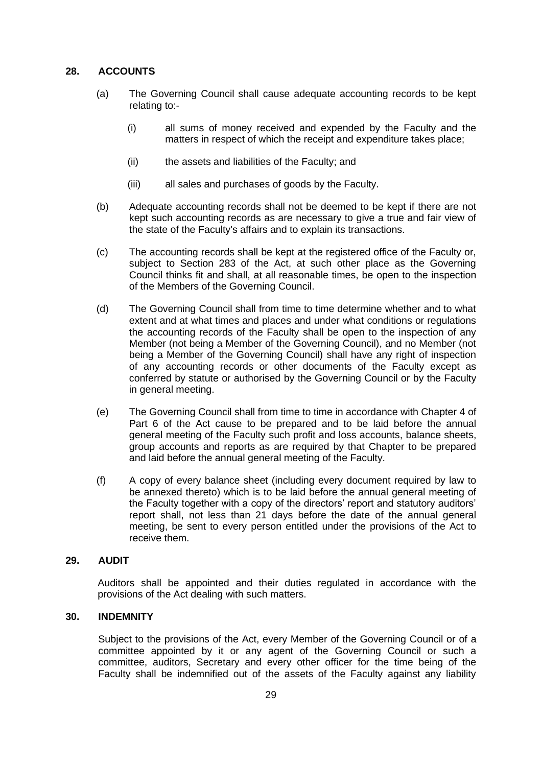## **28. ACCOUNTS**

- (a) The Governing Council shall cause adequate accounting records to be kept relating to:-
	- (i) all sums of money received and expended by the Faculty and the matters in respect of which the receipt and expenditure takes place;
	- (ii) the assets and liabilities of the Faculty; and
	- (iii) all sales and purchases of goods by the Faculty.
- (b) Adequate accounting records shall not be deemed to be kept if there are not kept such accounting records as are necessary to give a true and fair view of the state of the Faculty's affairs and to explain its transactions.
- (c) The accounting records shall be kept at the registered office of the Faculty or, subject to Section 283 of the Act, at such other place as the Governing Council thinks fit and shall, at all reasonable times, be open to the inspection of the Members of the Governing Council.
- (d) The Governing Council shall from time to time determine whether and to what extent and at what times and places and under what conditions or regulations the accounting records of the Faculty shall be open to the inspection of any Member (not being a Member of the Governing Council), and no Member (not being a Member of the Governing Council) shall have any right of inspection of any accounting records or other documents of the Faculty except as conferred by statute or authorised by the Governing Council or by the Faculty in general meeting.
- (e) The Governing Council shall from time to time in accordance with Chapter 4 of Part 6 of the Act cause to be prepared and to be laid before the annual general meeting of the Faculty such profit and loss accounts, balance sheets, group accounts and reports as are required by that Chapter to be prepared and laid before the annual general meeting of the Faculty.
- (f) A copy of every balance sheet (including every document required by law to be annexed thereto) which is to be laid before the annual general meeting of the Faculty together with a copy of the directors' report and statutory auditors' report shall, not less than 21 days before the date of the annual general meeting, be sent to every person entitled under the provisions of the Act to receive them.

## **29. AUDIT**

Auditors shall be appointed and their duties regulated in accordance with the provisions of the Act dealing with such matters.

## **30. INDEMNITY**

Subject to the provisions of the Act, every Member of the Governing Council or of a committee appointed by it or any agent of the Governing Council or such a committee, auditors, Secretary and every other officer for the time being of the Faculty shall be indemnified out of the assets of the Faculty against any liability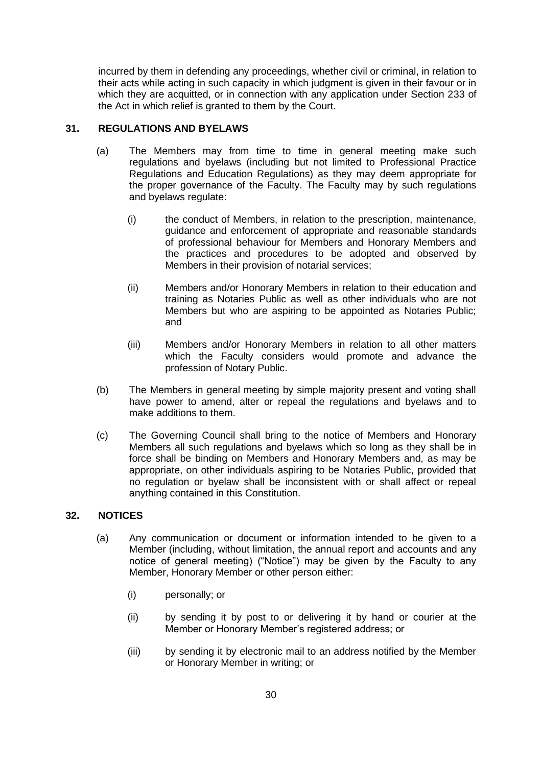incurred by them in defending any proceedings, whether civil or criminal, in relation to their acts while acting in such capacity in which judgment is given in their favour or in which they are acquitted, or in connection with any application under Section 233 of the Act in which relief is granted to them by the Court.

## **31. REGULATIONS AND BYELAWS**

- (a) The Members may from time to time in general meeting make such regulations and byelaws (including but not limited to Professional Practice Regulations and Education Regulations) as they may deem appropriate for the proper governance of the Faculty. The Faculty may by such regulations and byelaws regulate:
	- (i) the conduct of Members, in relation to the prescription, maintenance, guidance and enforcement of appropriate and reasonable standards of professional behaviour for Members and Honorary Members and the practices and procedures to be adopted and observed by Members in their provision of notarial services;
	- (ii) Members and/or Honorary Members in relation to their education and training as Notaries Public as well as other individuals who are not Members but who are aspiring to be appointed as Notaries Public; and
	- (iii) Members and/or Honorary Members in relation to all other matters which the Faculty considers would promote and advance the profession of Notary Public.
- (b) The Members in general meeting by simple majority present and voting shall have power to amend, alter or repeal the regulations and byelaws and to make additions to them.
- (c) The Governing Council shall bring to the notice of Members and Honorary Members all such regulations and byelaws which so long as they shall be in force shall be binding on Members and Honorary Members and, as may be appropriate, on other individuals aspiring to be Notaries Public, provided that no regulation or byelaw shall be inconsistent with or shall affect or repeal anything contained in this Constitution.

## **32. NOTICES**

- (a) Any communication or document or information intended to be given to a Member (including, without limitation, the annual report and accounts and any notice of general meeting) ("Notice") may be given by the Faculty to any Member, Honorary Member or other person either:
	- (i) personally; or
	- (ii) by sending it by post to or delivering it by hand or courier at the Member or Honorary Member's registered address; or
	- (iii) by sending it by electronic mail to an address notified by the Member or Honorary Member in writing; or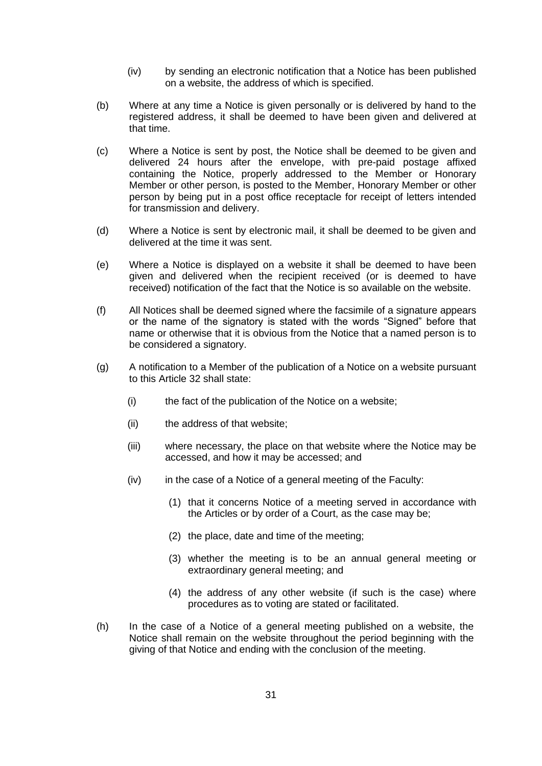- (iv) by sending an electronic notification that a Notice has been published on a website, the address of which is specified.
- (b) Where at any time a Notice is given personally or is delivered by hand to the registered address, it shall be deemed to have been given and delivered at that time.
- (c) Where a Notice is sent by post, the Notice shall be deemed to be given and delivered 24 hours after the envelope, with pre-paid postage affixed containing the Notice, properly addressed to the Member or Honorary Member or other person, is posted to the Member, Honorary Member or other person by being put in a post office receptacle for receipt of letters intended for transmission and delivery.
- (d) Where a Notice is sent by electronic mail, it shall be deemed to be given and delivered at the time it was sent.
- (e) Where a Notice is displayed on a website it shall be deemed to have been given and delivered when the recipient received (or is deemed to have received) notification of the fact that the Notice is so available on the website.
- (f) All Notices shall be deemed signed where the facsimile of a signature appears or the name of the signatory is stated with the words "Signed" before that name or otherwise that it is obvious from the Notice that a named person is to be considered a signatory.
- (g) A notification to a Member of the publication of a Notice on a website pursuant to this Article 32 shall state:
	- (i) the fact of the publication of the Notice on a website;
	- (ii) the address of that website;
	- (iii) where necessary, the place on that website where the Notice may be accessed, and how it may be accessed; and
	- (iv) in the case of a Notice of a general meeting of the Faculty:
		- (1) that it concerns Notice of a meeting served in accordance with the Articles or by order of a Court, as the case may be;
		- (2) the place, date and time of the meeting;
		- (3) whether the meeting is to be an annual general meeting or extraordinary general meeting; and
		- (4) the address of any other website (if such is the case) where procedures as to voting are stated or facilitated.
- (h) In the case of a Notice of a general meeting published on a website, the Notice shall remain on the website throughout the period beginning with the giving of that Notice and ending with the conclusion of the meeting.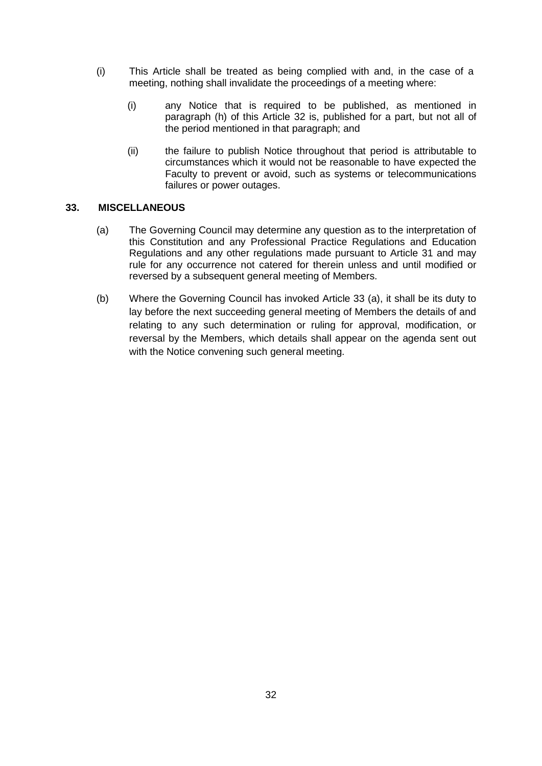- (i) This Article shall be treated as being complied with and, in the case of a meeting, nothing shall invalidate the proceedings of a meeting where:
	- (i) any Notice that is required to be published, as mentioned in paragraph (h) of this Article 32 is, published for a part, but not all of the period mentioned in that paragraph; and
	- (ii) the failure to publish Notice throughout that period is attributable to circumstances which it would not be reasonable to have expected the Faculty to prevent or avoid, such as systems or telecommunications failures or power outages.

## **33. MISCELLANEOUS**

- (a) The Governing Council may determine any question as to the interpretation of this Constitution and any Professional Practice Regulations and Education Regulations and any other regulations made pursuant to Article 31 and may rule for any occurrence not catered for therein unless and until modified or reversed by a subsequent general meeting of Members.
- (b) Where the Governing Council has invoked Article 33 (a), it shall be its duty to lay before the next succeeding general meeting of Members the details of and relating to any such determination or ruling for approval, modification, or reversal by the Members, which details shall appear on the agenda sent out with the Notice convening such general meeting.